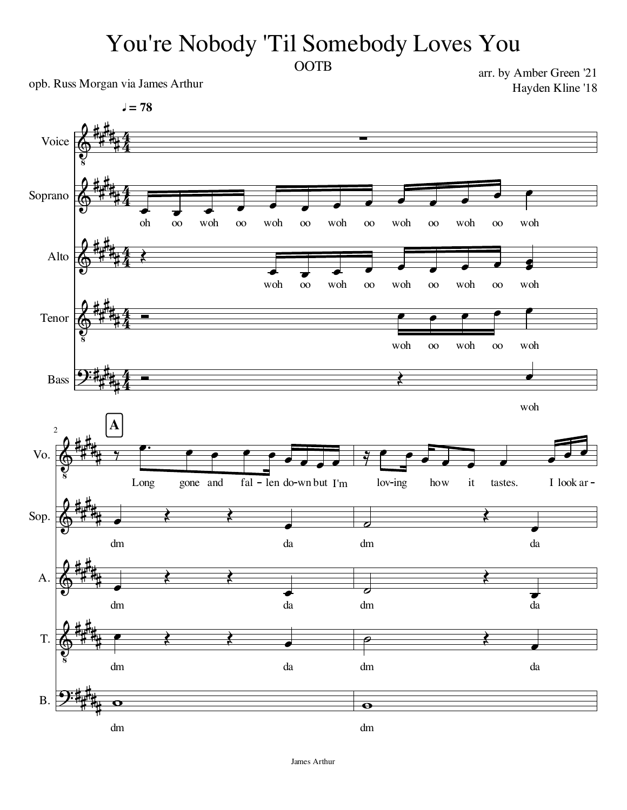## You're Nobody 'Til Somebody Loves You

opb. Russ Morgan via James Arthur

OOTB arr. by Amber Green '21 Hayden Kline '18

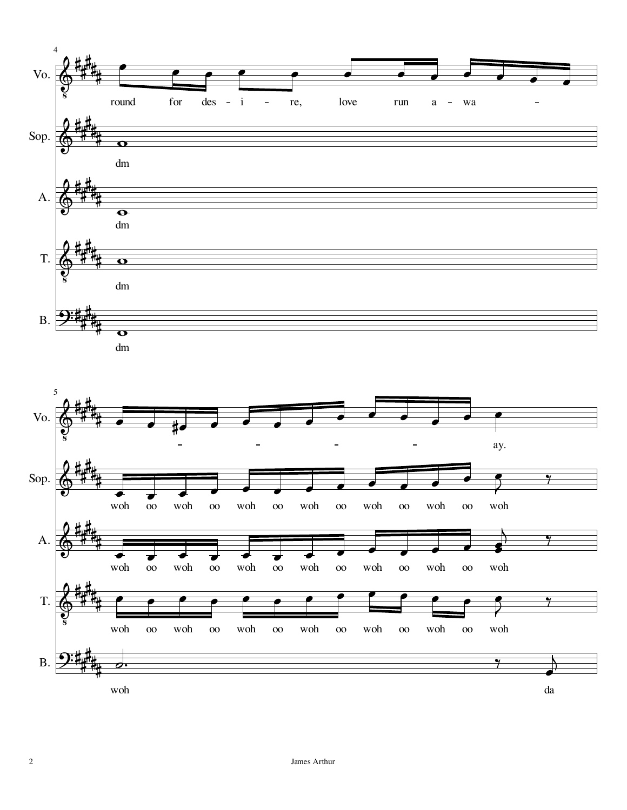

w oh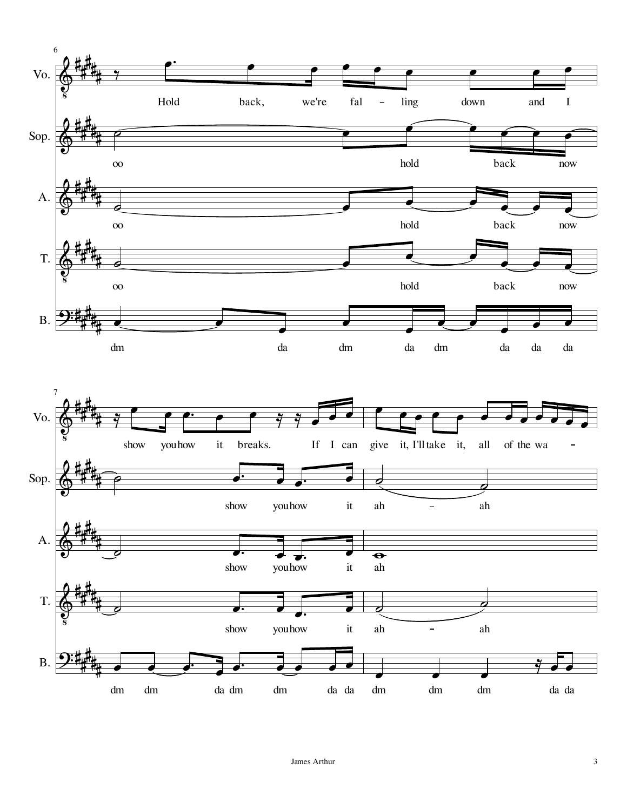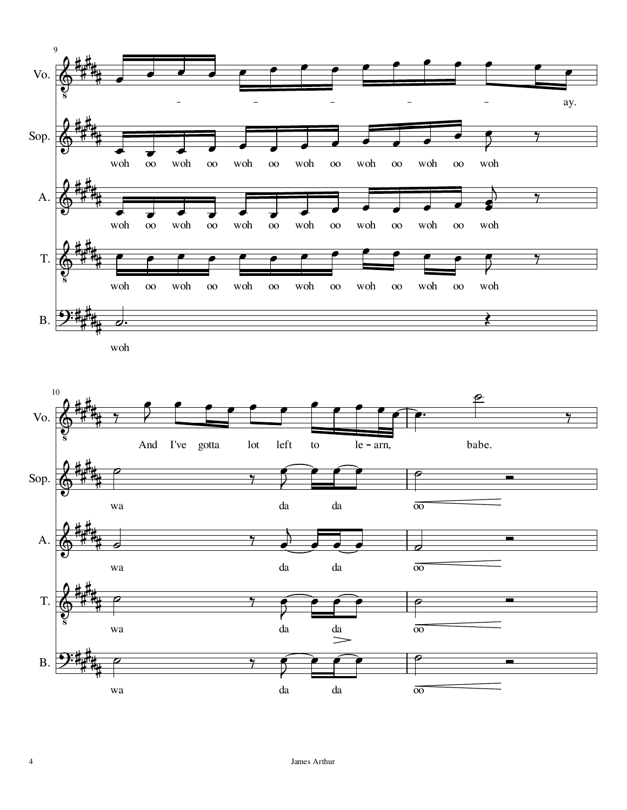

woh

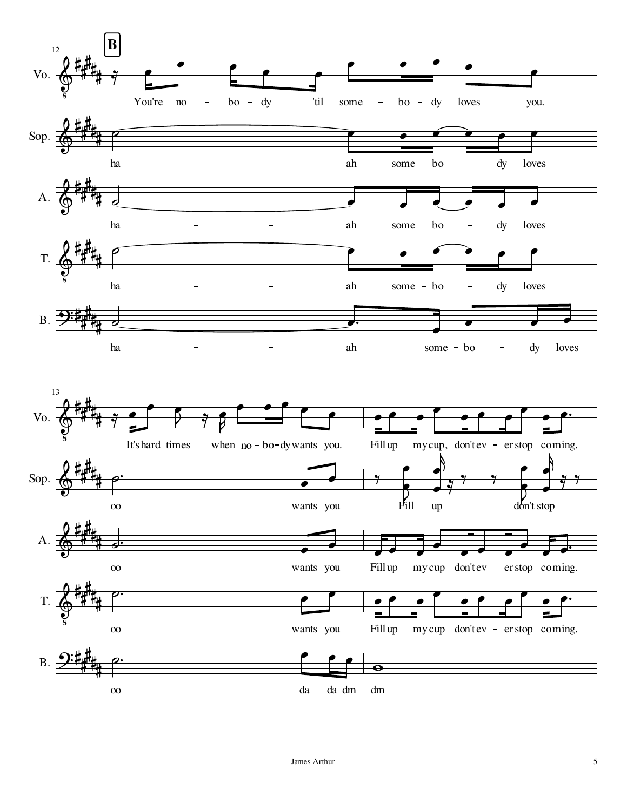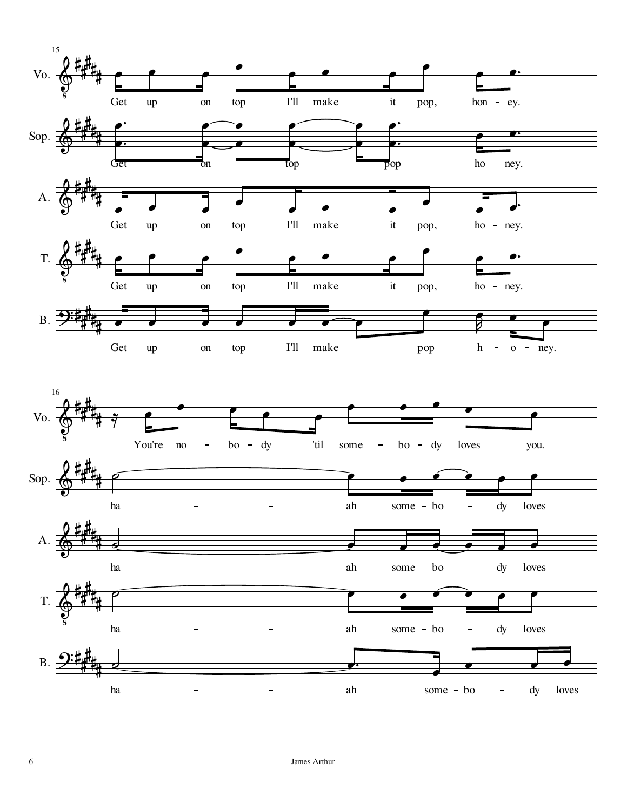

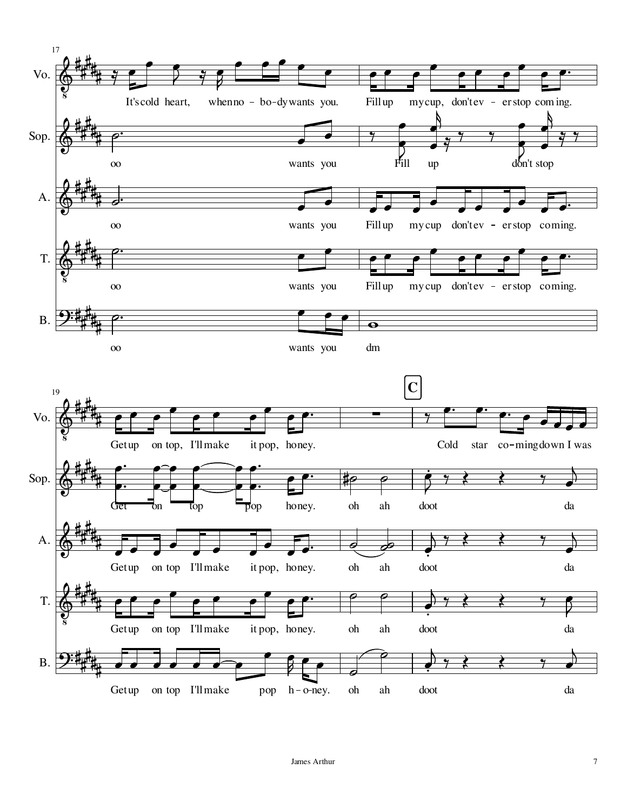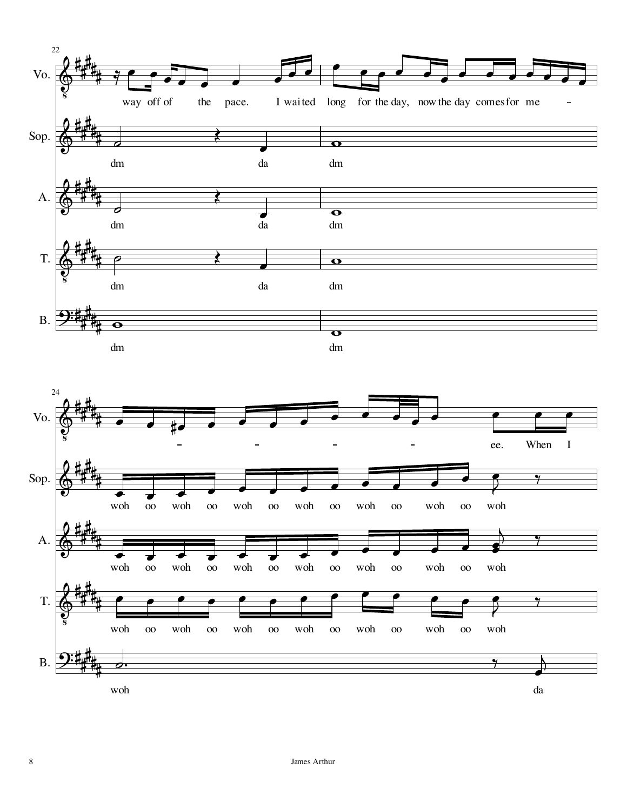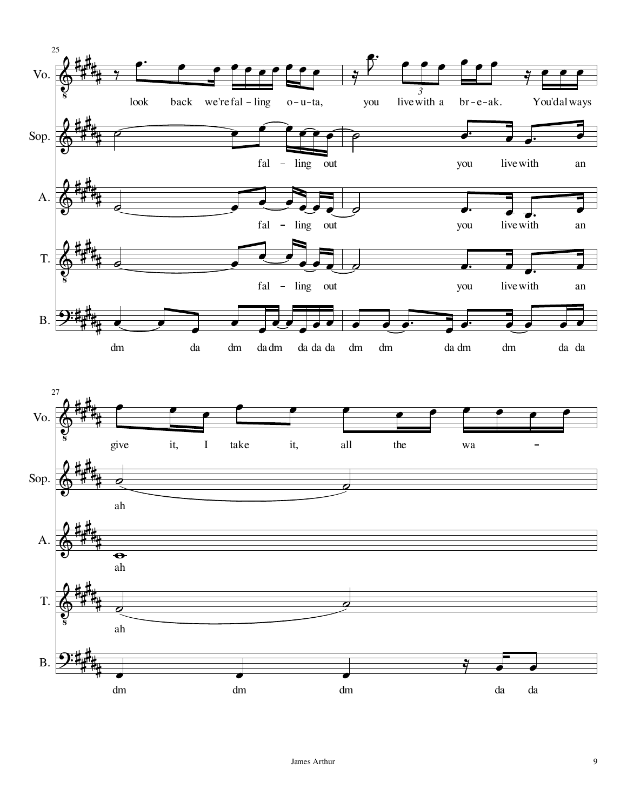

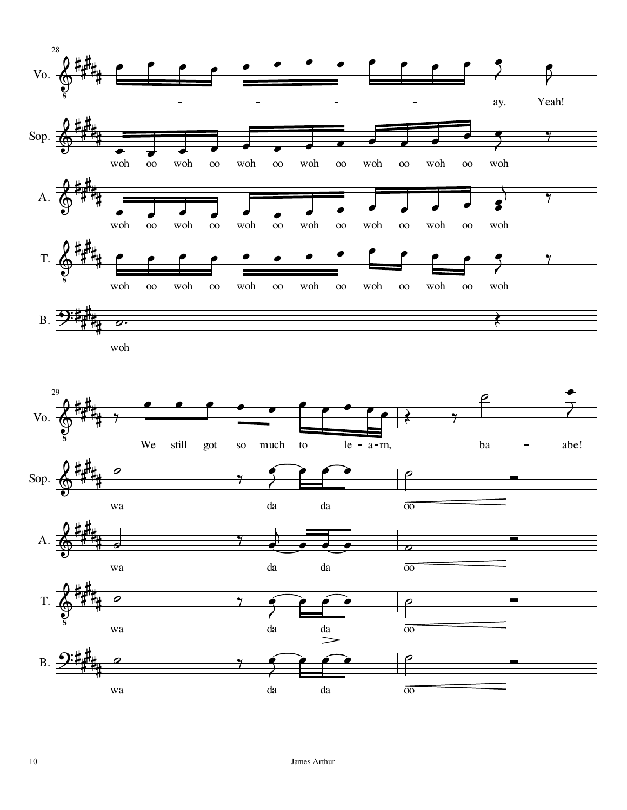

woh

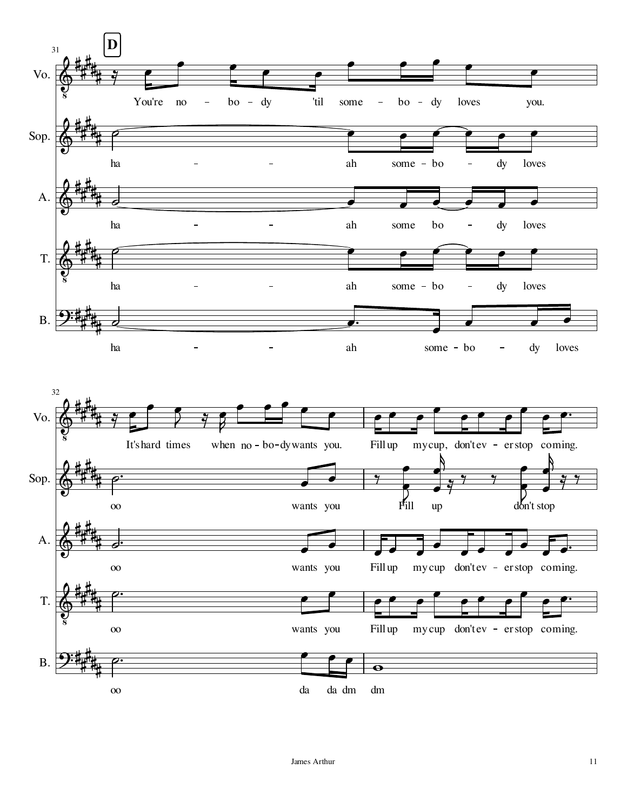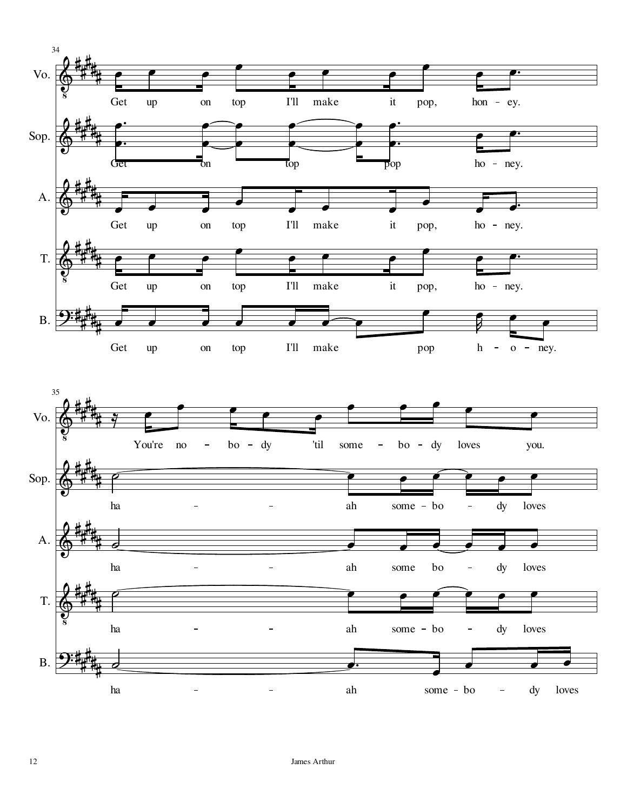

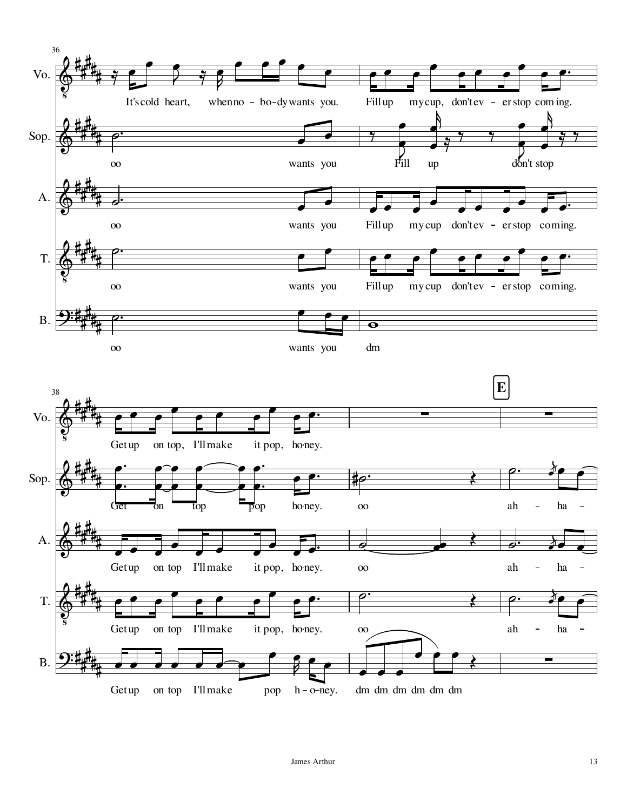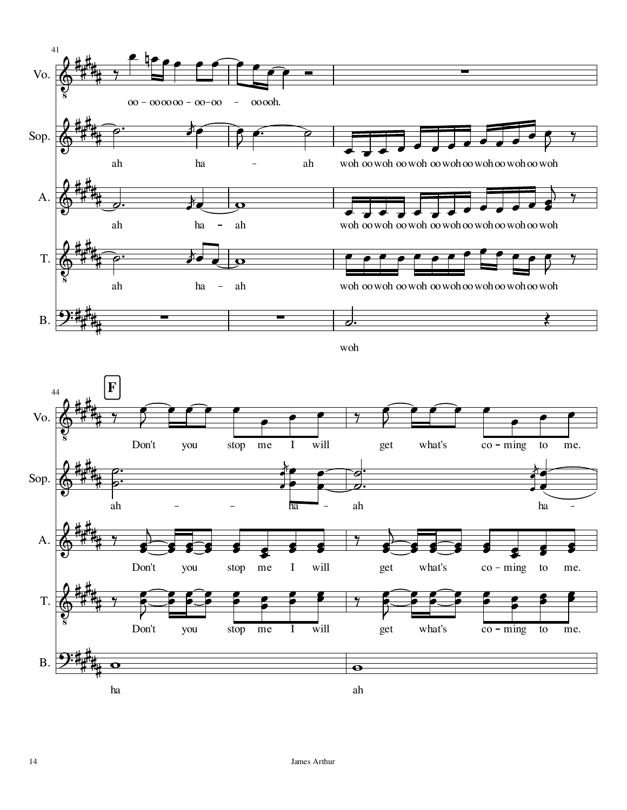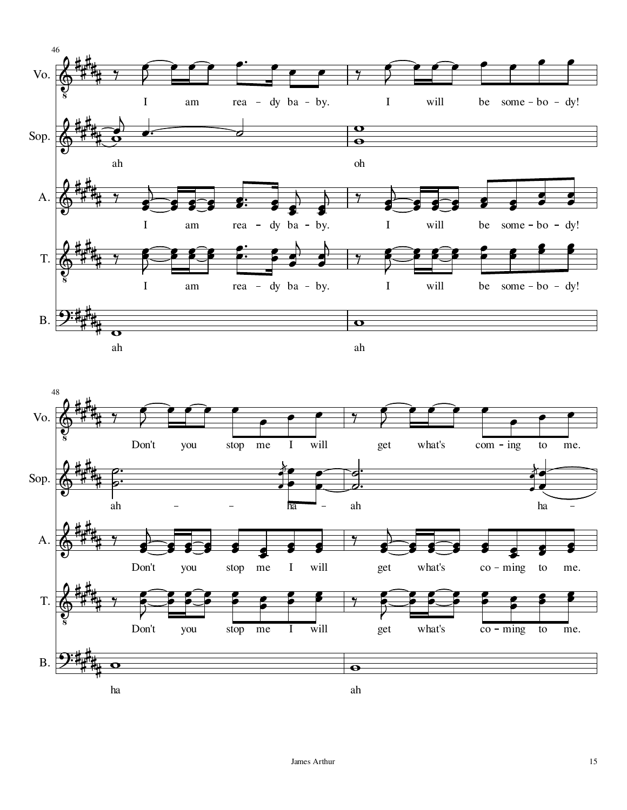

ah

ah

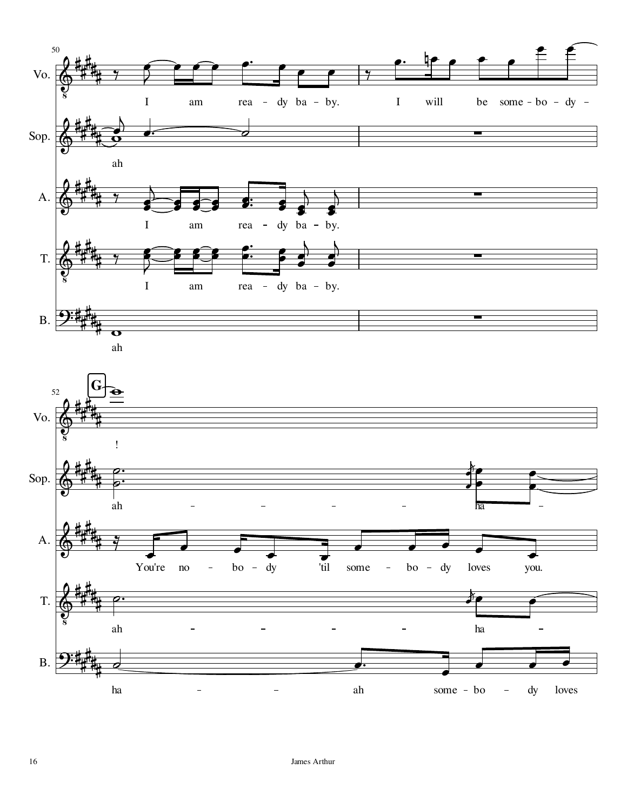

ah

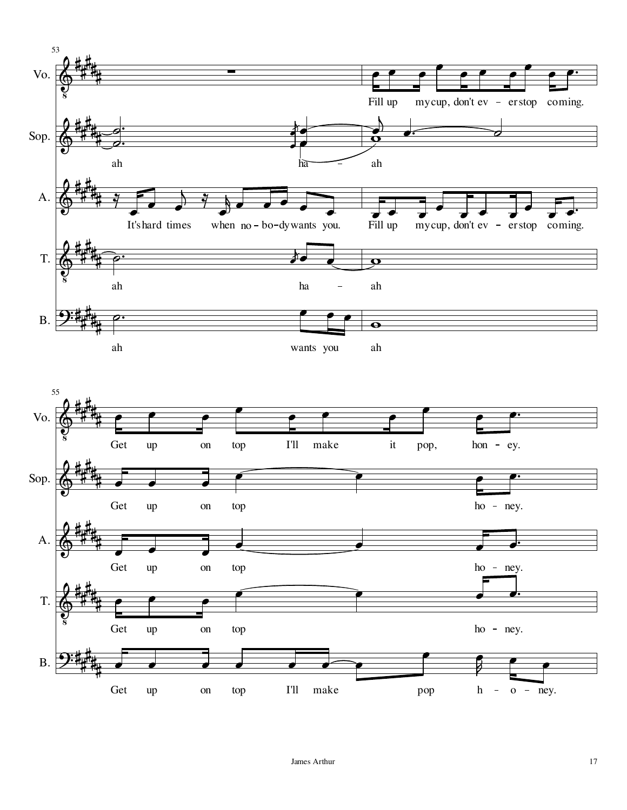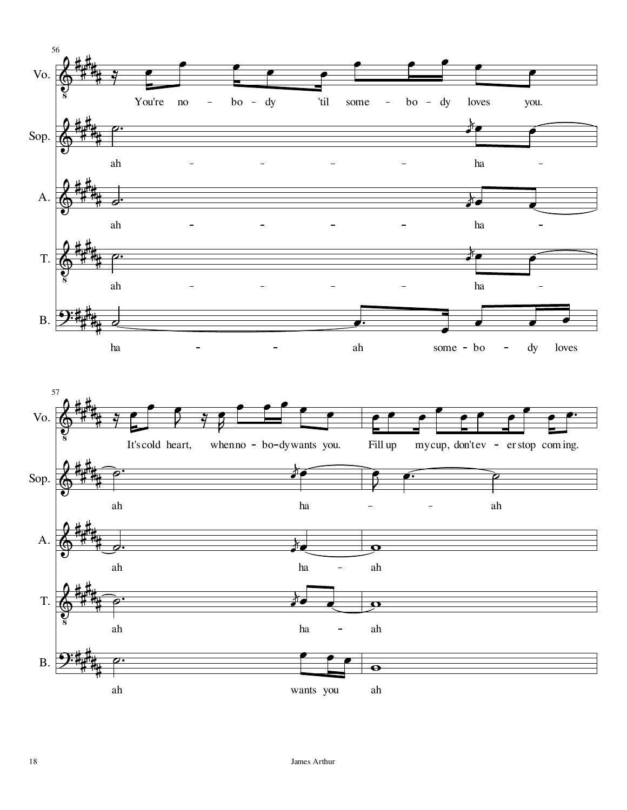